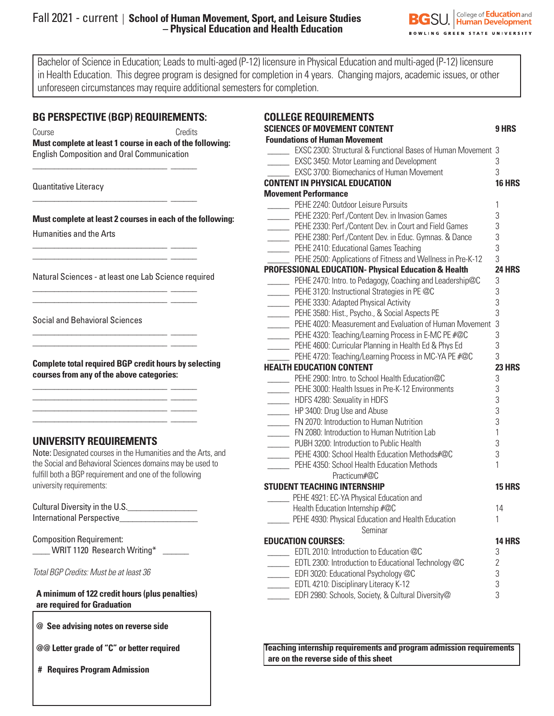### Fall 2021 - current | **School of Human Movement, Sport, and Leisure Studies – Physical Education and Health Education**



Bachelor of Science in Education; Leads to multi-aged (P-12) licensure in Physical Education and multi-aged (P-12) licensure in Health Education. This degree program is designed for completion in 4 years. Changing majors, academic issues, or other unforeseen circumstances may require additional semesters for completion.

| <b>BG PERSPECTIVE (BGP) REQUIREMENTS:</b><br>Credits<br>Course<br>Must complete at least 1 course in each of the following:<br><b>English Composition and Oral Communication</b>                                                                                                                       | <b>COLLEGE</b><br><b>SCIENCES</b><br><b>Foundation</b><br>$\rule{1em}{0.15mm}$ EX<br>$\overline{\phantom{1}}$ EX                                                              |  |
|--------------------------------------------------------------------------------------------------------------------------------------------------------------------------------------------------------------------------------------------------------------------------------------------------------|-------------------------------------------------------------------------------------------------------------------------------------------------------------------------------|--|
| Quantitative Literacy                                                                                                                                                                                                                                                                                  | $\overline{\phantom{1}}$ EX<br><b>CONTENT I</b><br><b>Movement</b>                                                                                                            |  |
| Must complete at least 2 courses in each of the following:<br><b>Humanities and the Arts</b>                                                                                                                                                                                                           | $\rule{1em}{0.15mm}$ PEI<br>$\rule{1em}{0.15mm}$ PEI<br>$\frac{1}{\sqrt{1-\frac{1}{2}}}\text{PE}$<br>$\rule{1em}{0.15mm}$ PEI<br>$\rule{1em}{0.15mm}$ PEI                     |  |
| <u> 1989 - Johann Stoff, deutscher Stoffen und der Stoffen und der Stoffen und der Stoffen und der Stoffen und der</u><br>Natural Sciences - at least one Lab Science required<br><u> 1989 - Johann Stein, fransk kampens og den som forskellige og den som forskellige og den som forskellige og </u> | <b>PE</b><br><b>PROFESSIO</b><br>$\equiv$ PEI<br>$\rule{1em}{0.15mm}$ PEI                                                                                                     |  |
| <b>Social and Behavioral Sciences</b><br><u> 1989 - Jan Salaman Santan Barat da Barat da Barat da Barat da Barat da Barat da Barat da Barat da Barat da Ba</u>                                                                                                                                         | $\rule{1em}{0.15mm}$ PEI<br>$\rule{1em}{0.15mm}$ PEI<br>$\rule{1em}{0.15mm}$ PEI<br>$\rule{1em}{0.15mm}$ PEI<br>$\rule{1em}{0.15mm}$ PEI                                      |  |
| <b>Complete total required BGP credit hours by selecting</b><br>courses from any of the above categories:                                                                                                                                                                                              | $\rule{1em}{0.15mm}$ PE<br><b>HEALTH ED</b><br>$\rule{1em}{0.15mm}$ PEI<br>$\rule{1em}{0.15mm}$ PEI                                                                           |  |
| <u> 1989 - Jan Stein Stein, fransk politiker (d. 1989)</u><br>UNIVERSITY REQUIREMENTS                                                                                                                                                                                                                  | $\rule{1em}{0.15mm}$ HD<br>$\frac{1}{\sqrt{1-\frac{1}{2}}}$<br>$\frac{1}{\sqrt{1-\frac{1}{2}}}\sqrt{1-\frac{1}{2}}$<br>$\overline{\phantom{a}}$ FN<br>$\rule{1em}{0.15mm}$ PU |  |
| Note: Designated courses in the Humanities and the Arts, and<br>the Social and Behavioral Sciences domains may be used to<br>fulfill both a BGP requirement and one of the following<br>university requirements:                                                                                       | $\rule{1em}{0.15mm}$ PEI<br>$\rule{1em}{0.15mm}$ PEI<br><b>STUDENT1</b>                                                                                                       |  |
| Cultural Diversity in the U.S.                                                                                                                                                                                                                                                                         | $\rule{1em}{0.15mm}$ PEH<br>Hea<br>PEH                                                                                                                                        |  |
| <b>Composition Requirement:</b><br>WRIT 1120 Research Writing*<br>Total BGP Credits: Must be at least 36                                                                                                                                                                                               | <b>EDUCATION</b><br>$-$ ED<br>$\equiv$ ED                                                                                                                                     |  |
| A minimum of 122 credit hours (plus penalties)<br>are required for Graduation                                                                                                                                                                                                                          | $\rule{1em}{0.15mm}$ ED<br>$\rule{1em}{0.15mm}$ ED<br>$\rule{1em}{0.15mm}$ ED                                                                                                 |  |
| @ See advising notes on reverse side                                                                                                                                                                                                                                                                   |                                                                                                                                                                               |  |
| @@ Letter grade of "C" or better required                                                                                                                                                                                                                                                              | <b>Teaching in</b>                                                                                                                                                            |  |

 **# Requires Program Admission**

| <b>COLLEGE REQUIREMENTS</b>                                   |                     |
|---------------------------------------------------------------|---------------------|
| <b>SCIENCES OF MOVEMENT CONTENT</b>                           | 9 HRS               |
| <b>Foundations of Human Movement</b>                          |                     |
| EXSC 2300: Structural & Functional Bases of Human Movement 3  |                     |
| <b>EXSC 3450: Motor Learning and Development</b>              | 3                   |
| EXSC 3700: Biomechanics of Human Movement                     | 3                   |
| <b>CONTENT IN PHYSICAL EDUCATION</b>                          | <b>16 HRS</b>       |
| <b>Movement Performance</b>                                   |                     |
| PEHE 2240: Outdoor Leisure Pursuits                           | 1                   |
| PEHE 2320: Perf./Content Dev. in Invasion Games               | 3                   |
| PEHE 2330: Perf./Content Dev. in Court and Field Games        | 3                   |
| PEHE 2380: Perf./Content Dev. in Educ. Gymnas. & Dance        | 3                   |
| PEHE 2410: Educational Games Teaching                         | 3                   |
| PEHE 2500: Applications of Fitness and Wellness in Pre-K-12   | 3                   |
| PROFESSIONAL EDUCATION- Physical Education & Health           | <b>24 HRS</b>       |
| PEHE 2470: Intro. to Pedagogy, Coaching and Leadership@C      | 3                   |
| _______ PEHE 3120: Instructional Strategies in PE @C          | 3                   |
| PEHE 3330: Adapted Physical Activity                          | 3                   |
| PEHE 3580: Hist., Psycho., & Social Aspects PE                | 3                   |
| PEHE 4020: Measurement and Evaluation of Human Movement       | 3                   |
| PEHE 4320: Teaching/Learning Process in E-MC PE #@C           | 3                   |
| PEHE 4600: Curricular Planning in Health Ed & Phys Ed         | 3                   |
| PEHE 4720: Teaching/Learning Process in MC-YA PE #@C          | 3                   |
| <b>HEALTH EDUCATION CONTENT</b>                               | <b>23 HRS</b>       |
| PEHE 2900: Intro. to School Health Education@C                | 3                   |
| PEHE 3000: Health Issues in Pre-K-12 Environments             | 3                   |
| HDFS 4280: Sexuality in HDFS                                  | 3                   |
| HP 3400: Drug Use and Abuse                                   | 3                   |
| FN 2070: Introduction to Human Nutrition                      | 3                   |
| FN 2080: Introduction to Human Nutrition Lab                  | $\mathbf{1}$        |
| PUBH 3200: Introduction to Public Health                      | 3                   |
| PEHE 4300: School Health Education Methods#@C                 | 3                   |
| PEHE 4350: School Health Education Methods                    | 1                   |
| Practicum#@C                                                  |                     |
| <b>STUDENT TEACHING INTERNSHIP</b>                            | <b>15 HRS</b>       |
| PEHE 4921: EC-YA Physical Education and                       |                     |
| Health Education Internship #@C                               | 14<br>1             |
| PEHE 4930: Physical Education and Health Education<br>Seminar |                     |
| <b>EDUCATION COURSES:</b>                                     | <b>14 HRS</b>       |
| EDTL 2010: Introduction to Education @C                       |                     |
| EDTL 2300: Introduction to Educational Technology @C          | 3<br>$\overline{2}$ |
| EDFI 3020: Educational Psychology @C                          | 3                   |
| EDTL 4210: Disciplinary Literacy K-12                         | 3                   |
| EDFI 2980: Schools, Society, & Cultural Diversity@            | 3                   |
|                                                               |                     |

**Teaching internship requirements and program admission requirements are on the reverse side of this sheet**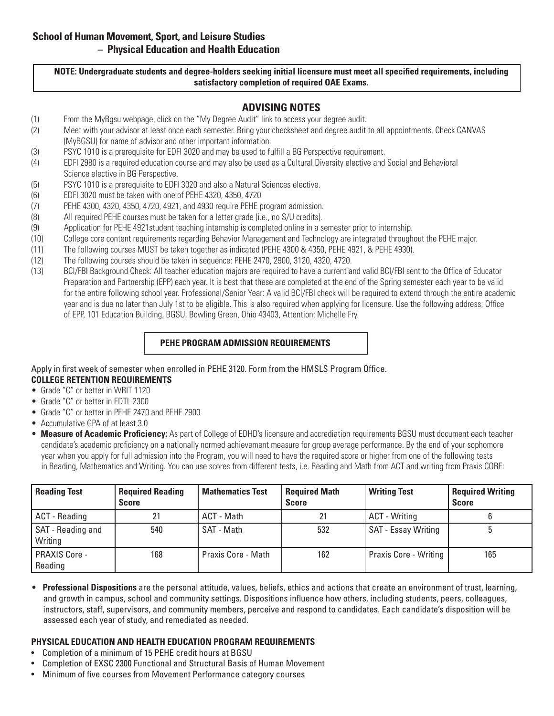**NOTE: Undergraduate students and degree-holders seeking initial licensure must meet all specified requirements, including satisfactory completion of required OAE Exams.**

# **ADVISING NOTES**

- (1) From the MyBgsu webpage, click on the "My Degree Audit" link to access your degree audit.
- (2) Meet with your advisor at least once each semester. Bring your checksheet and degree audit to all appointments. Check CANVAS (MyBGSU) for name of advisor and other important information.
- (3) PSYC 1010 is a prerequisite for EDFI 3020 and may be used to fulfill a BG Perspective requirement.
- (4) EDFI 2980 is a required education course and may also be used as a Cultural Diversity elective and Social and Behavioral Science elective in BG Perspective.
- (5) PSYC 1010 is a prerequisite to EDFI 3020 and also a Natural Sciences elective.
- (6) EDFI 3020 must be taken with one of PEHE 4320, 4350, 4720
- (7) PEHE 4300, 4320, 4350, 4720, 4921, and 4930 require PEHE program admission.
- (8) All required PEHE courses must be taken for a letter grade (i.e., no S/U credits).
- (9) Application for PEHE 4921student teaching internship is completed online in a semester prior to internship.
- (10) College core content requirements regarding Behavior Management and Technology are integrated throughout the PEHE major.
- (11) The following courses MUST be taken together as indicated (PEHE 4300 & 4350, PEHE 4921, & PEHE 4930).
- (12) The following courses should be taken in sequence: PEHE 2470, 2900, 3120, 4320, 4720.
- (13) BCI/FBI Background Check: All teacher education majors are required to have a current and valid BCI/FBI sent to the Office of Educator Preparation and Partnership (EPP) each year. It is best that these are completed at the end of the Spring semester each year to be valid for the entire following school year. Professional/Senior Year: A valid BCI/FBI check will be required to extend through the entire academic year and is due no later than July 1st to be eligible. This is also required when applying for licensure. Use the following address: Office of EPP, 101 Education Building, BGSU, Bowling Green, Ohio 43403, Attention: Michelle Fry.

## **PEHE PROGRAM ADMISSION REQUIREMENTS**

Apply in first week of semester when enrolled in PEHE 3120. Form from the HMSLS Program Office.

# **COLLEGE RETENTION REQUIREMENTS**

- Grade "C" or better in WRIT 1120
- Grade "C" or better in EDTL 2300
- Grade "C" or better in PEHE 2470 and PEHE 2900
- Accumulative GPA of at least 3.0
- **Measure of Academic Proficiency:** As part of College of EDHD's licensure and accrediation requirements BGSU must document each teacher candidate's academic proficiency on a nationally normed achievement measure for group average performance. By the end of your sophomore year when you apply for full admission into the Program, you will need to have the required score or higher from one of the following tests in Reading, Mathematics and Writing. You can use scores from different tests, i.e. Reading and Math from ACT and writing from Praxis CORE:

| <b>Reading Test</b>          | <b>Required Reading</b><br><b>Score</b> | <b>Mathematics Test</b> | <b>Required Math</b><br><b>Score</b> | <b>Writing Test</b>          | <b>Required Writing</b><br><b>Score</b> |
|------------------------------|-----------------------------------------|-------------------------|--------------------------------------|------------------------------|-----------------------------------------|
| <b>ACT</b> - Reading         | 21                                      | ACT - Math              |                                      | <b>ACT</b> - Writing         |                                         |
| SAT - Reading and<br>Writing | 540                                     | SAT - Math              | 532                                  | <b>SAT - Essay Writing</b>   |                                         |
| PRAXIS Core -<br>Reading     | 168                                     | Praxis Core - Math      | 162                                  | <b>Praxis Core - Writing</b> | 165                                     |

• **Professional Dispositions** are the personal attitude, values, beliefs, ethics and actions that create an environment of trust, learning, and growth in campus, school and community settings. Dispositions influence how others, including students, peers, colleagues, instructors, staff, supervisors, and community members, perceive and respond to candidates. Each candidate's disposition will be assessed each year of study, and remediated as needed.

### **PHYSICAL EDUCATION AND HEALTH EDUCATION PROGRAM REQUIREMENTS**

- Completion of a minimum of 15 PEHE credit hours at BGSU
- Completion of EXSC 2300 Functional and Structural Basis of Human Movement
- Minimum of five courses from Movement Performance category courses